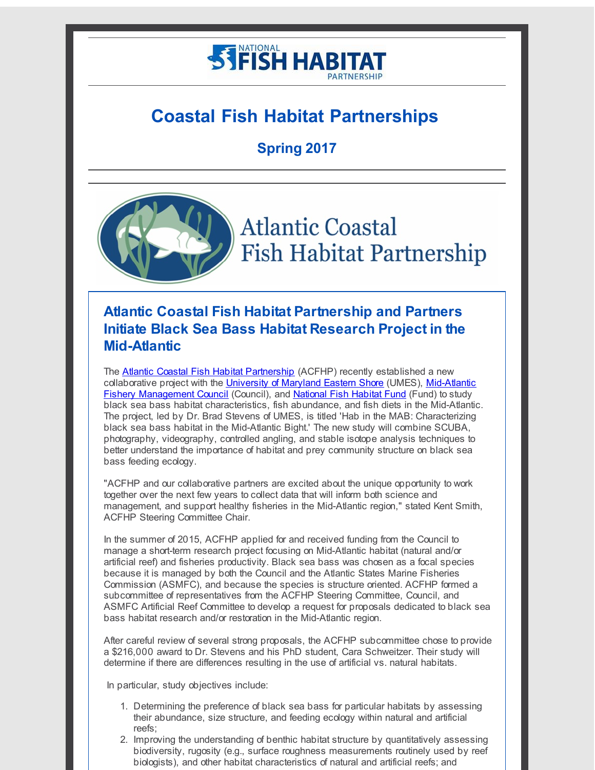# **STIFISH HABITAT**

# **Coastal Fish Habitat Partnerships**

**Spring 2017**



# **Atlantic Coastal Fish Habitat Partnership and Partners Initiate Black Sea Bass Habitat Research Project in the Mid-Atlantic**

The [Atlantic Coastal Fish Habitat Partnership](http://r20.rs6.net/tn.jsp?f=001tzp7NjR4JtLoPsoJ2p_LGTxqW6d6kB6ZbADgf6Z6cRAlr1r4xcvMGZeEwyJ6NldF60pnfU_b01cX9YiKs8sr3-0fUsKKUwu4aeAX8crv-f4PxCI7D9D4wTmXksMUHKo4swzj6RkgNj1Xtbnvws6gLI3nOC5p26D8HKB5vqPKMji-wuzJrZwNwW8G9qrdYiUI&c=&ch=) (ACFHP) recently established a new [collaborative project with the University of Maryland Eastern Shore \(UMES\), Mid-Atlantic](http://r20.rs6.net/tn.jsp?f=001tzp7NjR4JtLoPsoJ2p_LGTxqW6d6kB6ZbADgf6Z6cRAlr1r4xcvMGeA3LGIu7iQL2fXgtbZ2BNiT7dV8TDY1_h__nG2JEboZcXzYwFWkrLXpXk7V61GjK1YTD3pRgnq16UyZZOveYj6D6ZdKoTotZWeG4y2q7wXV65mdUfknfIQ=&c=&ch=) Fishery Management Council (Council), and [National Fish Habitat Fund](http://r20.rs6.net/tn.jsp?f=001tzp7NjR4JtLoPsoJ2p_LGTxqW6d6kB6ZbADgf6Z6cRAlr1r4xcvMGeA3LGIu7iQLAsT1p38wk0sq-NJWOwLlvewUn-FjfGhT9-k3jGuvHGEa0zrbgdFGBPGu8H7jZG4nGoc2Dqz-ViEAYNyuYLt-7yC7EdUxIcIYwQxzwoHJ8HdGV6S8RaL5lA==&c=&ch=) (Fund) to study black sea bass habitat characteristics, fish abundance, and fish diets in the Mid-Atlantic. The project, led by Dr. Brad Stevens of UMES, is titled 'Hab in the MAB: Characterizing black sea bass habitat in the Mid-Atlantic Bight.' The new study will combine SCUBA, photography, videography, controlled angling, and stable isotope analysis techniques to better understand the importance of habitat and prey community structure on black sea bass feeding ecology.

"ACFHP and our collaborative partners are excited about the unique opportunity to work together over the next few years to collect data that will inform both science and management, and support healthy fisheries in the Mid-Atlantic region," stated Kent Smith, ACFHP Steering Committee Chair.

In the summer of 2015, ACFHP applied for and received funding from the Council to manage a short-term research project focusing on Mid-Atlantic habitat (natural and/or artificial reef) and fisheries productivity. Black sea bass was chosen as a focal species because it is managed by both the Council and the Atlantic States Marine Fisheries Commission (ASMFC), and because the species is structure oriented. ACFHP formed a subcommittee of representatives from the ACFHP Steering Committee, Council, and ASMFC Artificial Reef Committee to develop a request for proposals dedicated to black sea bass habitat research and/or restoration in the Mid-Atlantic region.

After careful review of several strong proposals, the ACFHP subcommittee chose to provide a \$216,000 award to Dr. Stevens and his PhD student, Cara Schweitzer. Their study will determine if there are differences resulting in the use of artificial vs. natural habitats.

In particular, study objectives include:

- 1. Determining the preference of black sea bass for particular habitats by assessing their abundance, size structure, and feeding ecology within natural and artificial reefs;
- 2. Improving the understanding of benthic habitat structure by quantitatively assessing biodiversity, rugosity (e.g., surface roughness measurements routinely used by reef biologists), and other habitat characteristics of natural and artificial reefs; and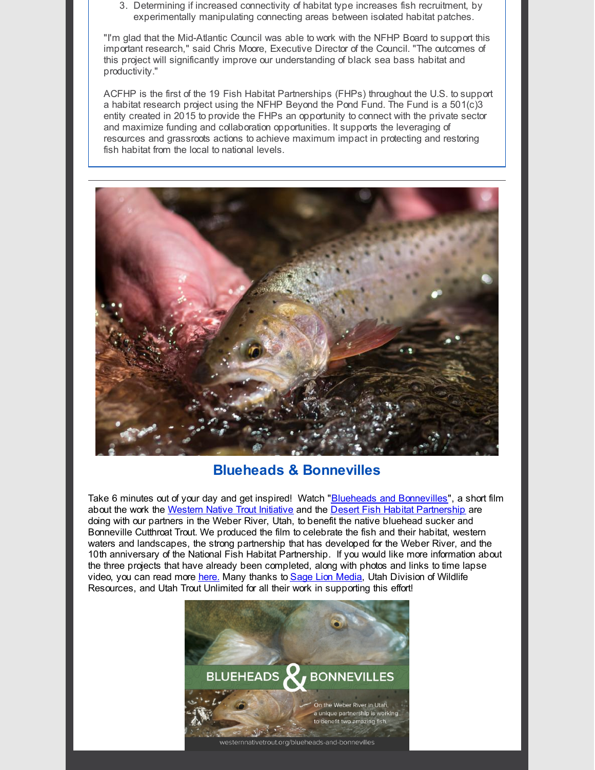3. Determining if increased connectivity of habitat type increases fish recruitment, by experimentally manipulating connecting areas between isolated habitat patches.

"I'm glad that the Mid-Atlantic Council was able to work with the NFHP Board to support this important research," said Chris Moore, Executive Director of the Council. "The outcomes of this project will significantly improve our understanding of black sea bass habitat and productivity."

ACFHP is the first of the 19 Fish Habitat Partnerships (FHPs) throughout the U.S. to support a habitat research project using the NFHP Beyond the Pond Fund. The Fund is a  $501(c)3$ entity created in 2015 to provide the FHPs an opportunity to connect with the private sector and maximize funding and collaboration opportunities. It supports the leveraging of resources and grassroots actions to achieve maximum impact in protecting and restoring fish habitat from the local to national levels.



#### **Blueheads & Bonnevilles**

Take 6 minutes out of your day and get inspired! Watch "Blueheads and [Bonnevilles](http://r20.rs6.net/tn.jsp?f=001tzp7NjR4JtLoPsoJ2p_LGTxqW6d6kB6ZbADgf6Z6cRAlr1r4xcvMGeA3LGIu7iQL3LAEqEqOBVNuV76i8LLrOI-jHssQra6igD9sjFT68GDabMLw9zP6fNQ6O3p-m4rHR-S40MfVHQPBIIag0g-oFwUJR9f7_DG_J51eiAEmPL4GWvz5B5HvkpdxZflc1liy4WlyaCV_uuROsefJaBOFQ3oL-3lACV3y&c=&ch=)", a short film about the work the [Western](http://r20.rs6.net/tn.jsp?f=001tzp7NjR4JtLoPsoJ2p_LGTxqW6d6kB6ZbADgf6Z6cRAlr1r4xcvMGcSMOhilKJnwnj1-5mecVZ9pQGIUCCHviyILa_ivJ9oMVDQamZaWoJMyz8bE0-ZBqxq_fd0HV2QDx1agLOuWUuIX6rx4ImQ4AXtckN7sGgaHJbPpJwfq6_kKMuYLGMyZvzprlVKva37p&c=&ch=) Native Trout Initiative and the Desert Fish Habitat [Partnership](http://r20.rs6.net/tn.jsp?f=001tzp7NjR4JtLoPsoJ2p_LGTxqW6d6kB6ZbADgf6Z6cRAlr1r4xcvMGeA3LGIu7iQLbIUdU2y4ZixO0bo3Xch6Up9DYU4DBcmP8mQLPhpIJ9OMcaCb0WIMOD3EL77tDRSpttbugFuPwJ8RFgJ0X5d9_kYzZuEQ4ACdCiPeVfHGBmg=&c=&ch=) are doing with our partners in the Weber River, Utah, to benefit the native bluehead sucker and Bonneville Cutthroat Trout. We produced the film to celebrate the fish and their habitat, western waters and landscapes, the strong partnership that has developed for the Weber River, and the 10th anniversary of the National Fish Habitat Partnership. If you would like more information about the three projects that have already been completed, along with photos and links to time lapse video, you can read more [here.](http://r20.rs6.net/tn.jsp?f=001tzp7NjR4JtLoPsoJ2p_LGTxqW6d6kB6ZbADgf6Z6cRAlr1r4xcvMGeA3LGIu7iQLf6i5V-yv73fM2-yY4JoPxJw_qMALRcvZSa1jOu4wFtAE0BiYLeVCa6aGXoLBSo3TdgXYsxonIp8kJXweWMbZWdto9XpB3Ku9USvucobw7nUI7eo0V0t8eFPzVeJEx59p9vzbfyFAewcd1LVOMtKIr1pxQyMSM4ZV4O6YZP6bEBGNH9gHe4HJ1Zl3Bg73hYlt4lKkNeWEQOgymcJ7U8etcQ==&c=&ch=) Many thanks to Sage Lion [Media](http://r20.rs6.net/tn.jsp?f=001tzp7NjR4JtLoPsoJ2p_LGTxqW6d6kB6ZbADgf6Z6cRAlr1r4xcvMGeA3LGIu7iQLi1pfx2USmTAyi1w-122x6_b1zCr5HkHxjV-VzoVHAkziATwSZOIfSYQXLfo_-ikSW_UYvNS9kOi27S1kb8WWvqjRK1YbXBz-Z0-g5oyEOIQ=&c=&ch=), Utah Division of Wildlife Resources, and Utah Trout Unlimited for all their work in supporting this effort!

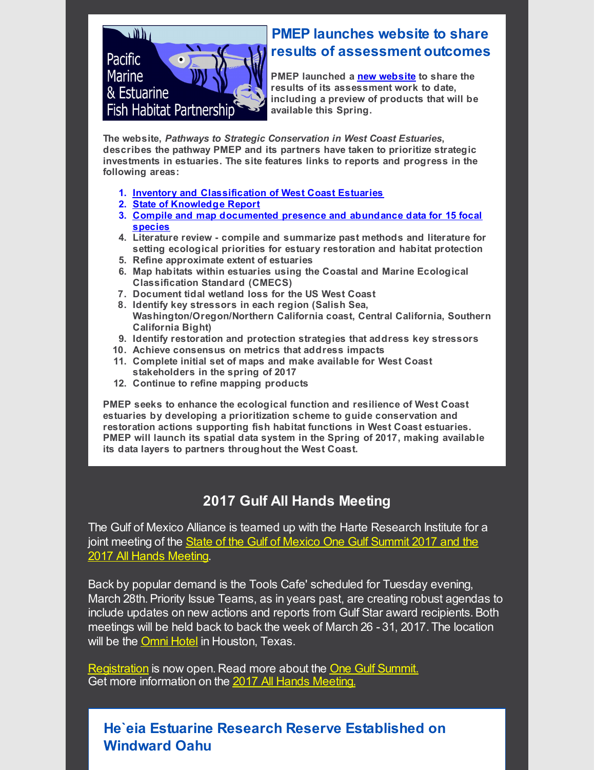

# **PMEP launches website to share results of assessment outcomes**

**PMEP launched a new [website](http://r20.rs6.net/tn.jsp?f=001tzp7NjR4JtLoPsoJ2p_LGTxqW6d6kB6ZbADgf6Z6cRAlr1r4xcvMGeA3LGIu7iQL7XqpYM4lOU4gSndAPaoR-DAK7UQL5amZBWEqJ5nMtgGVViYMkGrmGD8KiDu47yJSVlztZg9Qje0KW4BBg6UBrR08rCPSQzGlSisSt4VjeAzut_3P0ueE7A==&c=&ch=) to share the results of its assessment work to date, including a preview of products that will be available this Spring.**

**The website,** *Pathways to Strategic Conservation in West Coast Estuaries***, describes the pathway PMEP and its partners have taken to prioritize strategic investments in estuaries. The site features links to reports and progress in the following areas:**

- **1. Inventory and [Classification](http://r20.rs6.net/tn.jsp?f=001tzp7NjR4JtLoPsoJ2p_LGTxqW6d6kB6ZbADgf6Z6cRAlr1r4xcvMGbQze3FYPrSpRnmaOGLlISMFGLIF6VId7V8f3PxSoo9QYRmpasD5hAVliZFIYTrz57yXi3CWfTNcyKRvdBbfVlF-9XiEZ9s57BZCpBvkD3TTgfWiLssdjfxb6vNJv4LdWOshM9WPwZM7lmrh9XQ2BHgOSamsi1W4AaDksKNDQXDNfjU7t3K8I4brVJUdU41OgarumNQKdrOJ&c=&ch=) of West Coast Estuaries**
- **2. State of [Knowledge](http://r20.rs6.net/tn.jsp?f=001tzp7NjR4JtLoPsoJ2p_LGTxqW6d6kB6ZbADgf6Z6cRAlr1r4xcvMGbQze3FYPrSpYh5441mI2-qu_ArBaNn4s5CSV9LDimA_F_N6ZfD_X-vcioU4_nFf0evv_Xltym8lAnoMG6Jokb0NNABXs_D9yS-XNv6e_TfU7I1vngig4wt8OR_IQYcXL6D6py6xJRW-L5j0m1Ml0FGdorkZpY4RsNPo-RJx15Pj5L9YCSm0DtGBSXpl7erE0DWK3mpRUG2P&c=&ch=) Report**
- **3. Compile and map [documented](http://r20.rs6.net/tn.jsp?f=001tzp7NjR4JtLoPsoJ2p_LGTxqW6d6kB6ZbADgf6Z6cRAlr1r4xcvMGbV3ek7nNI9fTfsN8SA9dyF_SqJSi-BMSGSmNUPgEsDvUoPdXVBTPksiIUlP5fyBMb16cuIWNd10YQ-UzTwrMbnH2_VDTUNQmT-wqsGeJtE8rg2vs-rqxMMXU0nMzydnoyf--ONujpv9B8vV9Q38w-SEusmzSgPDGAWHcrqS-XeEdVtEAj5k0hA=&c=&ch=) presence and abundance data for 15 focal species**
- **4. Literature review - compile and summarize past methods and literature for setting ecological priorities for estuary restoration and habitat protection**
- **5. Refine approximate extent of estuaries**
- **6. Map habitats within estuaries using the Coastal and Marine Ecological Classification Standard (CMECS)**
- **7. Document tidal wetland loss for the US West Coast**
- **8. Identify key stressors in each region (Salish Sea, Washington/Oregon/Northern California coast, Central California, Southern California Bight)**
- **9. Identify restoration and protection strategies that address key stressors**
- **10. Achieve consensus on metrics that address impacts**
- **11. Complete initial set of maps and make available for West Coast stakeholders in the spring of 2017**
- **12. Continue to refine mapping products**

**PMEP seeks to enhance the ecological function and resilience of West Coast estuaries by developing a prioritization scheme to guide conservation and restoration actions supporting fish habitat functions in West Coast estuaries. PMEP will launch its spatial data system in the Spring of 2017, making available its data layers to partners throughout the West Coast.**

#### **2017 Gulf All Hands Meeting**

The Gulf of Mexico Alliance is teamed up with the Harte Research Institute for a joint meeting of the State of the Gulf of Mexico One Gulf Summit 2017 and the 2017 All Hands [Meeting.](http://r20.rs6.net/tn.jsp?f=001tzp7NjR4JtLoPsoJ2p_LGTxqW6d6kB6ZbADgf6Z6cRAlr1r4xcvMGeA3LGIu7iQLuVo8jc93lBCHn_-Kz2Og5ZwG5t5NXkkxStAXwritdASm1rA3_NgL9eLS3RY0AxkmRGCQDXAfLEiXoaEEUv_OWumgttYq-W5Ly5uhQ7k1jmGFIr9g8J-tfA8PxuVt83OPbHppibvR6uuYW2_fHAQs2WscwYmhlMDSJ9pJrii1j48BxQSIhG0mHOqmeSn0JrcO&c=&ch=)

Back by popular demand is the Tools Cafe' scheduled for Tuesday evening, March 28th. Priority Issue Teams, as in years past, are creating robust agendas to include updates on new actions and reports from Gulf Star award recipients. Both meetings will be held back to back the week of March 26 - 31, 2017. The location will be the [Omni](http://r20.rs6.net/tn.jsp?f=001tzp7NjR4JtLoPsoJ2p_LGTxqW6d6kB6ZbADgf6Z6cRAlr1r4xcvMGeA3LGIu7iQLIBKQimpO0q2qneth3TyAxOYvWEe4SD6EZtGuq-gEywrkoMgA3iYcF-VTwMiUWRfwTGqBHX8gx5uf4wc3yQfwHwpBk0lDaRAjMYUfR4fFYv5rcSr-Mng_GV6dtiGaZ0VA65a0M3Y9Gup_jzSvzxpvKfpdc2i44XhVFceLYQkzGQIdbNWZUKq4O2bFSHOnePJQln9Ki-b-vSQ29oY-6zC22J5hbJ_BNSmd&c=&ch=) Hotel in Houston, Texas.

[Registration](http://r20.rs6.net/tn.jsp?f=001tzp7NjR4JtLoPsoJ2p_LGTxqW6d6kB6ZbADgf6Z6cRAlr1r4xcvMGeA3LGIu7iQLnO3JNgxbCNmKycSS9TTChSBooMzs6jP3uiQeR5EpVOkxws6vIiynB2safSY2TNERKWLoLKWhY3EqgYFO80YL2duok1XdTfwd_wUQX-ZqWuwJ7khONkxBu_d11bmQHHxHM-IN-dwr6XQjgjyTuhH-iZ0TtF-TP1rGJXKeDQLyzaE=&c=&ch=) is now open. Read more about the One Gulf [Summit.](http://r20.rs6.net/tn.jsp?f=001tzp7NjR4JtLoPsoJ2p_LGTxqW6d6kB6ZbADgf6Z6cRAlr1r4xcvMGeA3LGIu7iQLcSPANk6L-PnRLQ6KxcuX3g0FnzWg7fxuU45l0zsMBhEfvhJui1l_IgzmAbrN8rmJg1cWTXwarnEpgaMLL_rd_Bdkn0XWZ7MVAmfOnOWkmHM=&c=&ch=) Get more information on the 2017 All Hands [Meeting.](http://r20.rs6.net/tn.jsp?f=001tzp7NjR4JtLoPsoJ2p_LGTxqW6d6kB6ZbADgf6Z6cRAlr1r4xcvMGeA3LGIu7iQLuVo8jc93lBCHn_-Kz2Og5ZwG5t5NXkkxStAXwritdASm1rA3_NgL9eLS3RY0AxkmRGCQDXAfLEiXoaEEUv_OWumgttYq-W5Ly5uhQ7k1jmGFIr9g8J-tfA8PxuVt83OPbHppibvR6uuYW2_fHAQs2WscwYmhlMDSJ9pJrii1j48BxQSIhG0mHOqmeSn0JrcO&c=&ch=)

### **He`eia Estuarine Research Reserve Established on Windward Oahu**